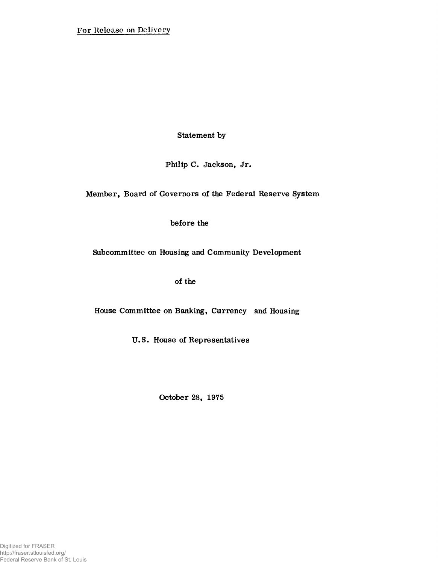**Statement by**

**Philip C. Jackson, Jr.**

**Member, Board of Governors of the Federal Reserve System**

**before the**

**Subcommittee on Housing and Community Development**

**of the**

**House Committee on Banking, Currency and Housing**

**U.S. House of Representatives**

**October 28, 1975**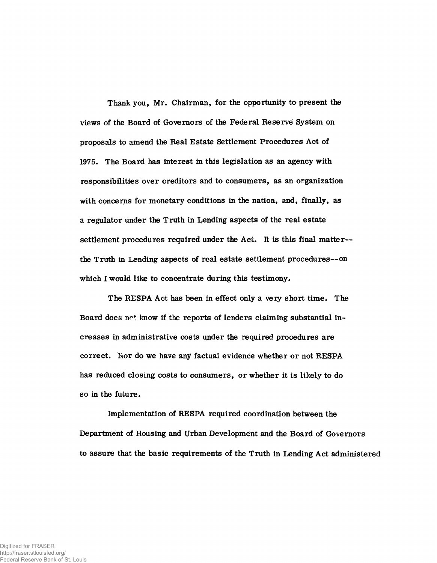**Thank you, Mr. Chairman, for the opportunity to present the views of the Board of Governors of the Federal Reserve System on proposals to amend the Real Estate Settlement Procedures Act of 1975. The Board has interest in this legislation as an agency with responsibilities over creditors and to consumers, as an organization with concerns for monetary conditions in the nation, and, finally, as a regulator under the Truth in Lending aspects of the real estate settlement procedures required under the Act. It is this final matter the Truth in Lending aspects of real estate settlement procedures—on which I would like to concentrate during this testimony.**

**The RESPA Act has been in effect only a very short time. The Board does not know if the reports of lenders claiming substantial increases in administrative costs under the required procedures are correct. Isor do we have any factual evidence whether or not RESPA has reduced closing costs to consumers, or whether it is likely to do so in the future.**

**Implementation of RESPA required coordination between the Department of Housing and Urban Development and the Board of Governors to assure that the basic requirements of the Truth in Lending Act administered**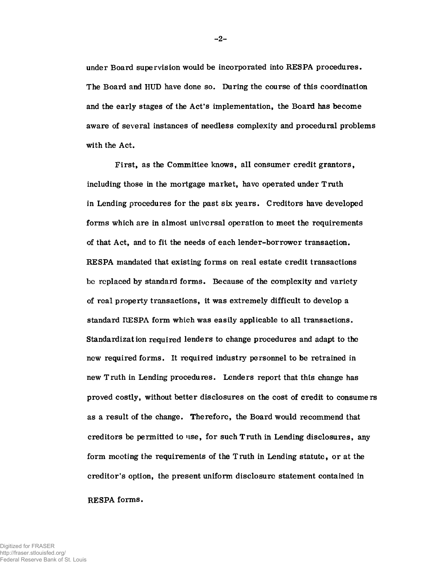**under Board supervision would be incorporated into RESPA procedures. The Board and HUD have done so. During the course of this coordination and the early stages of the Act's implementation, the Board has become aware of several instances of needless complexity and procedural problems with the Act.**

**First, as the Committee knows, all consumer credit grantors, including those in the mortgage market, have operated under Truth in Lending procedures for the past six years. Creditors have developed forms which are in almost universal operation to meet the requirements of that Act, and to fit the needs of each lender-borrower transaction. RESPA mandated that existing forms on real estate credit transactions bo replaced by standard forms. Because of the complexity and variety of real property transactions, it was extremely difficult to develop a standard RESPA form which was easily applicable to all transactions. Standardization required lenders to change procedures and adapt to the new required forms. It required industry personnel to be retrained in new Truth in Lending procedures. Lenders report that this change has proved costly, without better disclosures on the cost of credit to consumers as a result of the change. Therefore, the Board would recommend that creditors be permitted to use, for such Truth in Lending disclosures, any form meeting the requirements of the Truth in Lending statute, or at the creditor's option, the present uniform disclosure statement contained in RE SPA forms.**

Digitized for FRASER http://fraser.stlouisfed.org/ Federal Reserve Bank of St. Louis - **2**-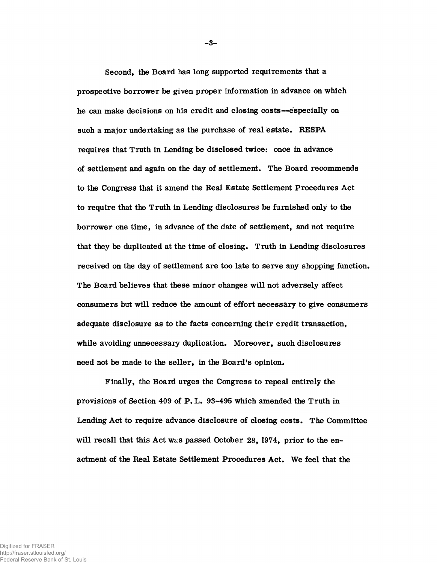**Second, the Board has long supported requirements that a prospective borrower be given proper information in advance on which he can make decisions on his credit and closing costs—especially on such a major undertaking as the purchase of real estate. RESPA requires that Truth in Lending be disclosed twice: once in advance of settlement and again on the day of settlement. The Board recommends to the Congress that it amend the Real Estate Settlement Procedures Act to require that the Truth in Lending disclosures be furnished only to the borrower one time, in advance of the date of settlement, and not require that they be duplicated at the time of closing. Truth in Lending disclosures received on the day of settlement are too late to serve any shopping function. The Board believes that these minor changes will not adversely affect consumers but will reduce the amount of effort necessary to give consumers adequate disclosure as to the facts concerning their credit transaction, while avoiding unnecessary duplication. Moreover, such disclosures need not be made to the seller, in the Board's opinion.**

**Finally, the Board urges the Congress to repeal entirely the provisions of Section 409 of P. L. 93-495 which amended the Truth in Lending Act to require advance disclosure of closing costs. The Committee** will recall that this Act was passed October 28, 1974, prior to the en**actment of the Real Estate Settlement Procedures Act. We feel that the**

- **3**-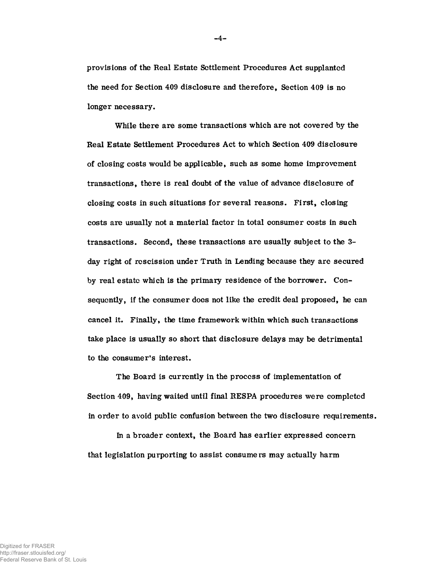**provisions of the Real Estate Settlement Procedures Act supplanted the need for Section 409 disclosure and therefore, Section 409 is no longer necessary.**

**While there are some transactions which are not covered by the Real Estate Settlement Procedures Act to which Section 409 disclosure of closing costs would be applicable, such as some home improvement transactions, there is real doubt of the value of advance disclosure of closing costs in such situations for several reasons. First, closing costs are usually not a material factor in total consumer costs in such transactions. Second, these transactions are usually subject to the 3 day right of rescission under Truth in Lending because they are secured by real estate which is the primary residence of the borrower. Consequently, if the consumer does not like the credit deal proposed, he can cancel it. Finally, the time framework within which such transactions take place is usually so short that disclosure delays may be detrimental to the consumer's interest.**

**The Board is currently in the process of implementation of Section 409, having waited until final RESPA procedures were completed in order to avoid public confusion between the two disclosure requirements.**

**In a broader context, the Board has earlier expressed concern that legislation purporting to assist consumers may actually harm**

- **4**-